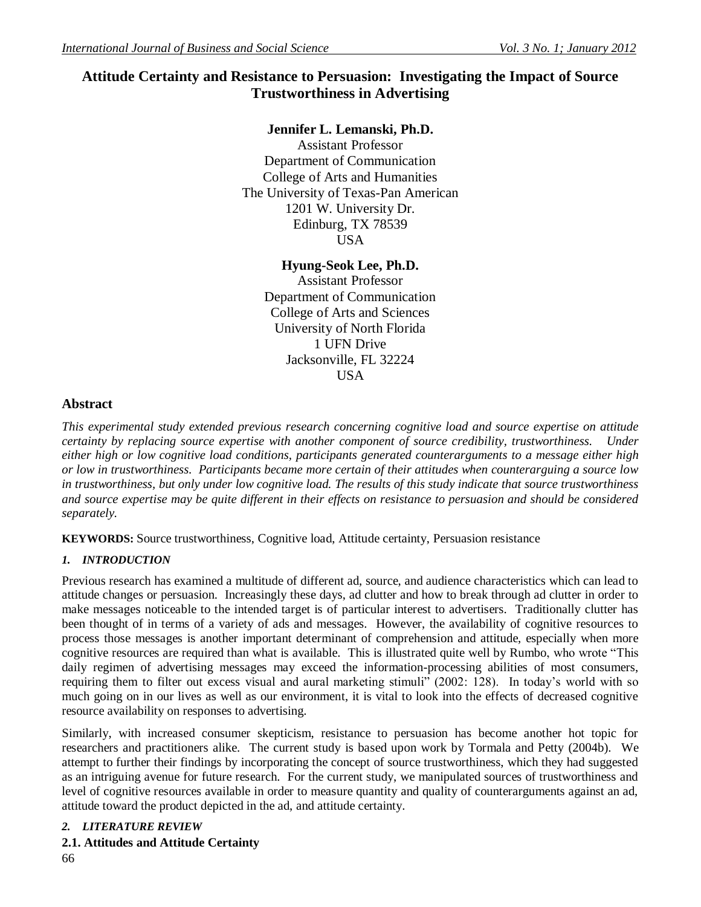# **Attitude Certainty and Resistance to Persuasion: Investigating the Impact of Source Trustworthiness in Advertising**

## **Jennifer L. Lemanski, Ph.D.**

Assistant Professor Department of Communication College of Arts and Humanities The University of Texas-Pan American 1201 W. University Dr. Edinburg, TX 78539 USA

### **Hyung-Seok Lee, Ph.D.**

Assistant Professor Department of Communication College of Arts and Sciences University of North Florida 1 UFN Drive Jacksonville, FL 32224 USA

## **Abstract**

*This experimental study extended previous research concerning cognitive load and source expertise on attitude certainty by replacing source expertise with another component of source credibility, trustworthiness. Under either high or low cognitive load conditions, participants generated counterarguments to a message either high or low in trustworthiness. Participants became more certain of their attitudes when counterarguing a source low in trustworthiness, but only under low cognitive load. The results of this study indicate that source trustworthiness and source expertise may be quite different in their effects on resistance to persuasion and should be considered separately.*

**KEYWORDS:** Source trustworthiness, Cognitive load, Attitude certainty, Persuasion resistance

## *1. INTRODUCTION*

Previous research has examined a multitude of different ad, source, and audience characteristics which can lead to attitude changes or persuasion. Increasingly these days, ad clutter and how to break through ad clutter in order to make messages noticeable to the intended target is of particular interest to advertisers. Traditionally clutter has been thought of in terms of a variety of ads and messages. However, the availability of cognitive resources to process those messages is another important determinant of comprehension and attitude, especially when more cognitive resources are required than what is available. This is illustrated quite well by Rumbo, who wrote "This daily regimen of advertising messages may exceed the information-processing abilities of most consumers, requiring them to filter out excess visual and aural marketing stimuli" (2002: 128). In today's world with so much going on in our lives as well as our environment, it is vital to look into the effects of decreased cognitive resource availability on responses to advertising.

Similarly, with increased consumer skepticism, resistance to persuasion has become another hot topic for researchers and practitioners alike. The current study is based upon work by Tormala and Petty (2004b). We attempt to further their findings by incorporating the concept of source trustworthiness, which they had suggested as an intriguing avenue for future research. For the current study, we manipulated sources of trustworthiness and level of cognitive resources available in order to measure quantity and quality of counterarguments against an ad, attitude toward the product depicted in the ad, and attitude certainty.

### *2. LITERATURE REVIEW*

### **2.1. Attitudes and Attitude Certainty**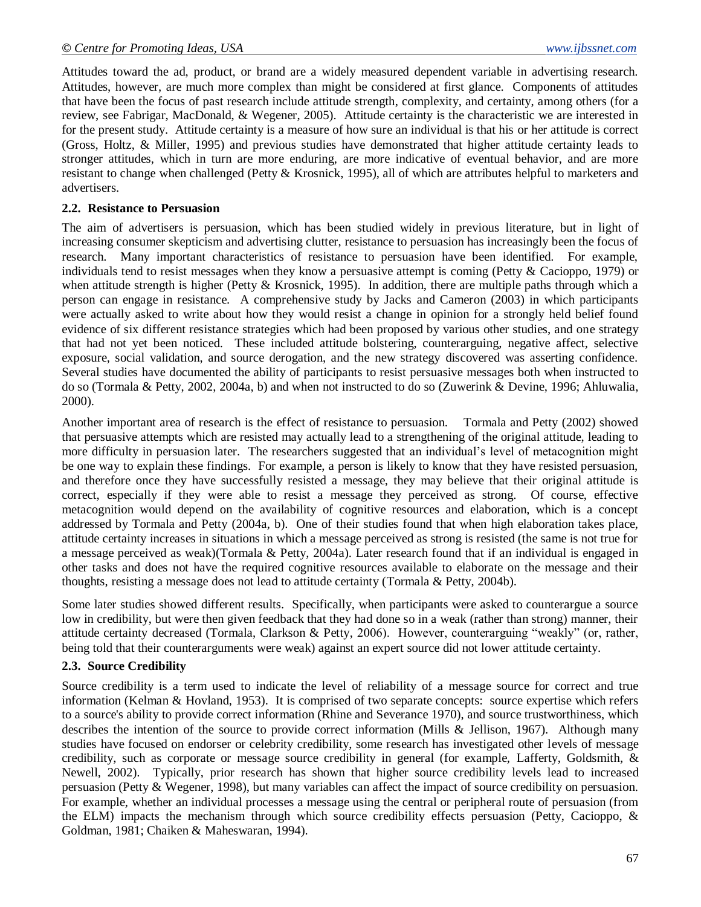Attitudes toward the ad, product, or brand are a widely measured dependent variable in advertising research. Attitudes, however, are much more complex than might be considered at first glance. Components of attitudes that have been the focus of past research include attitude strength, complexity, and certainty, among others (for a review, see Fabrigar, MacDonald, & Wegener, 2005). Attitude certainty is the characteristic we are interested in for the present study. Attitude certainty is a measure of how sure an individual is that his or her attitude is correct (Gross, Holtz, & Miller, 1995) and previous studies have demonstrated that higher attitude certainty leads to stronger attitudes, which in turn are more enduring, are more indicative of eventual behavior, and are more resistant to change when challenged (Petty & Krosnick, 1995), all of which are attributes helpful to marketers and advertisers.

#### **2.2. Resistance to Persuasion**

The aim of advertisers is persuasion, which has been studied widely in previous literature, but in light of increasing consumer skepticism and advertising clutter, resistance to persuasion has increasingly been the focus of research. Many important characteristics of resistance to persuasion have been identified. For example, individuals tend to resist messages when they know a persuasive attempt is coming (Petty & Cacioppo, 1979) or when attitude strength is higher (Petty & Krosnick, 1995). In addition, there are multiple paths through which a person can engage in resistance. A comprehensive study by Jacks and Cameron (2003) in which participants were actually asked to write about how they would resist a change in opinion for a strongly held belief found evidence of six different resistance strategies which had been proposed by various other studies, and one strategy that had not yet been noticed. These included attitude bolstering, counterarguing, negative affect, selective exposure, social validation, and source derogation, and the new strategy discovered was asserting confidence. Several studies have documented the ability of participants to resist persuasive messages both when instructed to do so (Tormala & Petty, 2002, 2004a, b) and when not instructed to do so (Zuwerink & Devine, 1996; Ahluwalia, 2000).

Another important area of research is the effect of resistance to persuasion. Tormala and Petty (2002) showed that persuasive attempts which are resisted may actually lead to a strengthening of the original attitude, leading to more difficulty in persuasion later. The researchers suggested that an individual's level of metacognition might be one way to explain these findings. For example, a person is likely to know that they have resisted persuasion, and therefore once they have successfully resisted a message, they may believe that their original attitude is correct, especially if they were able to resist a message they perceived as strong. Of course, effective metacognition would depend on the availability of cognitive resources and elaboration, which is a concept addressed by Tormala and Petty (2004a, b). One of their studies found that when high elaboration takes place, attitude certainty increases in situations in which a message perceived as strong is resisted (the same is not true for a message perceived as weak)(Tormala & Petty, 2004a). Later research found that if an individual is engaged in other tasks and does not have the required cognitive resources available to elaborate on the message and their thoughts, resisting a message does not lead to attitude certainty (Tormala & Petty, 2004b).

Some later studies showed different results. Specifically, when participants were asked to counterargue a source low in credibility, but were then given feedback that they had done so in a weak (rather than strong) manner, their attitude certainty decreased (Tormala, Clarkson & Petty, 2006). However, counterarguing "weakly" (or, rather, being told that their counterarguments were weak) against an expert source did not lower attitude certainty.

### **2.3. Source Credibility**

Source credibility is a term used to indicate the level of reliability of a message source for correct and true information (Kelman & Hovland, 1953). It is comprised of two separate concepts: source expertise which refers to a source's ability to provide correct information (Rhine and Severance 1970), and source trustworthiness, which describes the intention of the source to provide correct information (Mills & Jellison, 1967). Although many studies have focused on endorser or celebrity credibility, some research has investigated other levels of message credibility, such as corporate or message source credibility in general (for example, Lafferty, Goldsmith, & Newell, 2002). Typically, prior research has shown that higher source credibility levels lead to increased persuasion (Petty & Wegener, 1998), but many variables can affect the impact of source credibility on persuasion. For example, whether an individual processes a message using the central or peripheral route of persuasion (from the ELM) impacts the mechanism through which source credibility effects persuasion (Petty, Cacioppo, & Goldman, 1981; Chaiken & Maheswaran, 1994).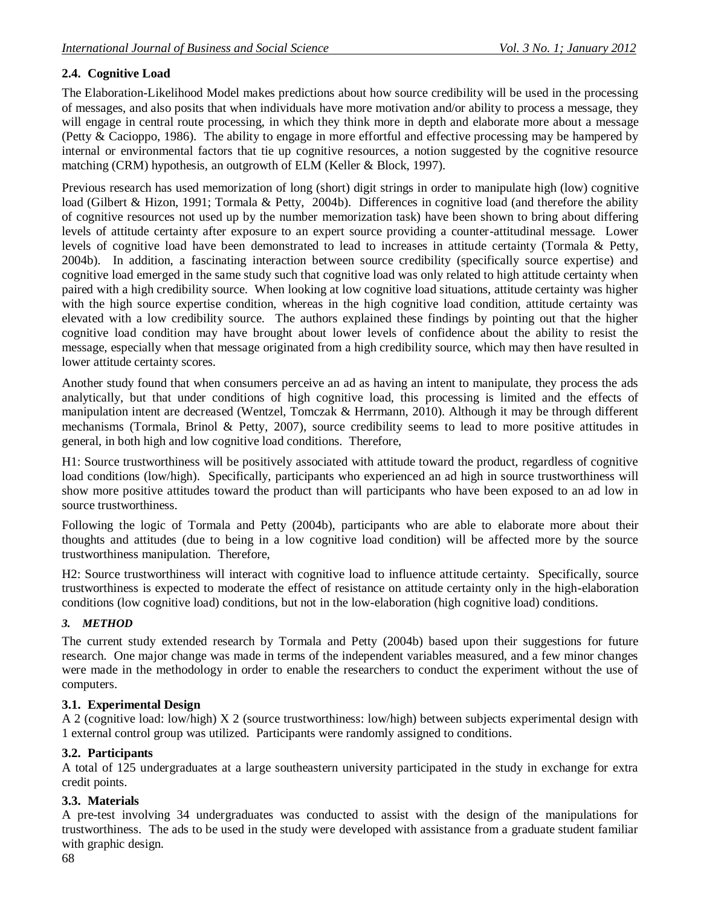## **2.4. Cognitive Load**

The Elaboration-Likelihood Model makes predictions about how source credibility will be used in the processing of messages, and also posits that when individuals have more motivation and/or ability to process a message, they will engage in central route processing, in which they think more in depth and elaborate more about a message (Petty & Cacioppo, 1986). The ability to engage in more effortful and effective processing may be hampered by internal or environmental factors that tie up cognitive resources, a notion suggested by the cognitive resource matching (CRM) hypothesis, an outgrowth of ELM (Keller & Block, 1997). Î

Previous research has used memorization of long (short) digit strings in order to manipulate high (low) cognitive load (Gilbert & Hizon, 1991; Tormala & Petty, 2004b). Differences in cognitive load (and therefore the ability of cognitive resources not used up by the number memorization task) have been shown to bring about differing levels of attitude certainty after exposure to an expert source providing a counter-attitudinal message. Lower levels of cognitive load have been demonstrated to lead to increases in attitude certainty (Tormala & Petty, 2004b). In addition, a fascinating interaction between source credibility (specifically source expertise) and cognitive load emerged in the same study such that cognitive load was only related to high attitude certainty when paired with a high credibility source. When looking at low cognitive load situations, attitude certainty was higher with the high source expertise condition, whereas in the high cognitive load condition, attitude certainty was elevated with a low credibility source. The authors explained these findings by pointing out that the higher cognitive load condition may have brought about lower levels of confidence about the ability to resist the message, especially when that message originated from a high credibility source, which may then have resulted in lower attitude certainty scores.

Another study found that when consumers perceive an ad as having an intent to manipulate, they process the ads analytically, but that under conditions of high cognitive load, this processing is limited and the effects of manipulation intent are decreased (Wentzel, Tomczak & Herrmann, 2010). Although it may be through different mechanisms (Tormala, Brinol & Petty, 2007), source credibility seems to lead to more positive attitudes in general, in both high and low cognitive load conditions. Therefore,

H1: Source trustworthiness will be positively associated with attitude toward the product, regardless of cognitive load conditions (low/high). Specifically, participants who experienced an ad high in source trustworthiness will show more positive attitudes toward the product than will participants who have been exposed to an ad low in source trustworthiness.

Following the logic of Tormala and Petty (2004b), participants who are able to elaborate more about their thoughts and attitudes (due to being in a low cognitive load condition) will be affected more by the source trustworthiness manipulation. Therefore,

H2: Source trustworthiness will interact with cognitive load to influence attitude certainty. Specifically, source trustworthiness is expected to moderate the effect of resistance on attitude certainty only in the high-elaboration conditions (low cognitive load) conditions, but not in the low-elaboration (high cognitive load) conditions.

## *3. METHOD*

The current study extended research by Tormala and Petty (2004b) based upon their suggestions for future research. One major change was made in terms of the independent variables measured, and a few minor changes were made in the methodology in order to enable the researchers to conduct the experiment without the use of computers.

## **3.1. Experimental Design**

A 2 (cognitive load: low/high) X 2 (source trustworthiness: low/high) between subjects experimental design with 1 external control group was utilized. Participants were randomly assigned to conditions.

### **3.2. Participants**

A total of 125 undergraduates at a large southeastern university participated in the study in exchange for extra credit points.

## **3.3. Materials**

A pre-test involving 34 undergraduates was conducted to assist with the design of the manipulations for trustworthiness. The ads to be used in the study were developed with assistance from a graduate student familiar with graphic design.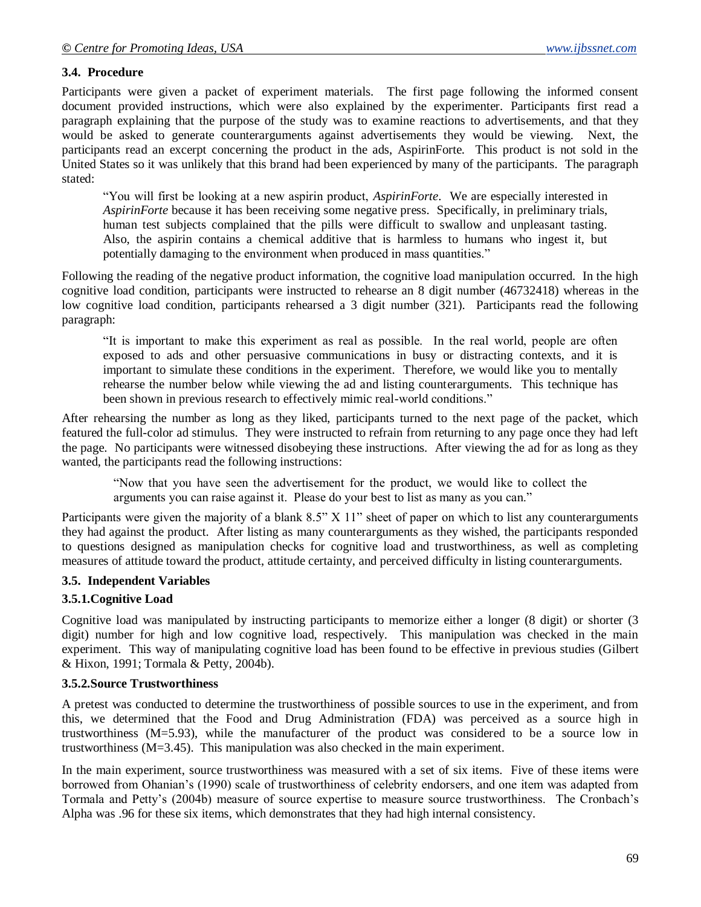#### **3.4. Procedure**

Participants were given a packet of experiment materials. The first page following the informed consent document provided instructions, which were also explained by the experimenter. Participants first read a paragraph explaining that the purpose of the study was to examine reactions to advertisements, and that they would be asked to generate counterarguments against advertisements they would be viewing. Next, the participants read an excerpt concerning the product in the ads, AspirinForte. This product is not sold in the United States so it was unlikely that this brand had been experienced by many of the participants. The paragraph stated:

"You will first be looking at a new aspirin product, *AspirinForte*. We are especially interested in *AspirinForte* because it has been receiving some negative press. Specifically, in preliminary trials, human test subjects complained that the pills were difficult to swallow and unpleasant tasting. Also, the aspirin contains a chemical additive that is harmless to humans who ingest it, but potentially damaging to the environment when produced in mass quantities."

Following the reading of the negative product information, the cognitive load manipulation occurred. In the high cognitive load condition, participants were instructed to rehearse an 8 digit number (46732418) whereas in the low cognitive load condition, participants rehearsed a 3 digit number (321). Participants read the following paragraph:

"It is important to make this experiment as real as possible. In the real world, people are often exposed to ads and other persuasive communications in busy or distracting contexts, and it is important to simulate these conditions in the experiment. Therefore, we would like you to mentally rehearse the number below while viewing the ad and listing counterarguments. This technique has been shown in previous research to effectively mimic real-world conditions."

After rehearsing the number as long as they liked, participants turned to the next page of the packet, which featured the full-color ad stimulus. They were instructed to refrain from returning to any page once they had left the page. No participants were witnessed disobeying these instructions. After viewing the ad for as long as they wanted, the participants read the following instructions:

"Now that you have seen the advertisement for the product, we would like to collect the arguments you can raise against it. Please do your best to list as many as you can."

Participants were given the majority of a blank 8.5" X 11" sheet of paper on which to list any counterarguments they had against the product. After listing as many counterarguments as they wished, the participants responded to questions designed as manipulation checks for cognitive load and trustworthiness, as well as completing measures of attitude toward the product, attitude certainty, and perceived difficulty in listing counterarguments.

#### **3.5. Independent Variables**

#### **3.5.1.Cognitive Load**

Cognitive load was manipulated by instructing participants to memorize either a longer (8 digit) or shorter (3 digit) number for high and low cognitive load, respectively. This manipulation was checked in the main experiment. This way of manipulating cognitive load has been found to be effective in previous studies (Gilbert & Hixon, 1991; Tormala & Petty, 2004b).

#### **3.5.2.Source Trustworthiness**

A pretest was conducted to determine the trustworthiness of possible sources to use in the experiment, and from this, we determined that the Food and Drug Administration (FDA) was perceived as a source high in trustworthiness (M=5.93), while the manufacturer of the product was considered to be a source low in trustworthiness (M=3.45). This manipulation was also checked in the main experiment.

In the main experiment, source trustworthiness was measured with a set of six items. Five of these items were borrowed from Ohanian's (1990) scale of trustworthiness of celebrity endorsers, and one item was adapted from Tormala and Petty's (2004b) measure of source expertise to measure source trustworthiness. The Cronbach's Alpha was .96 for these six items, which demonstrates that they had high internal consistency.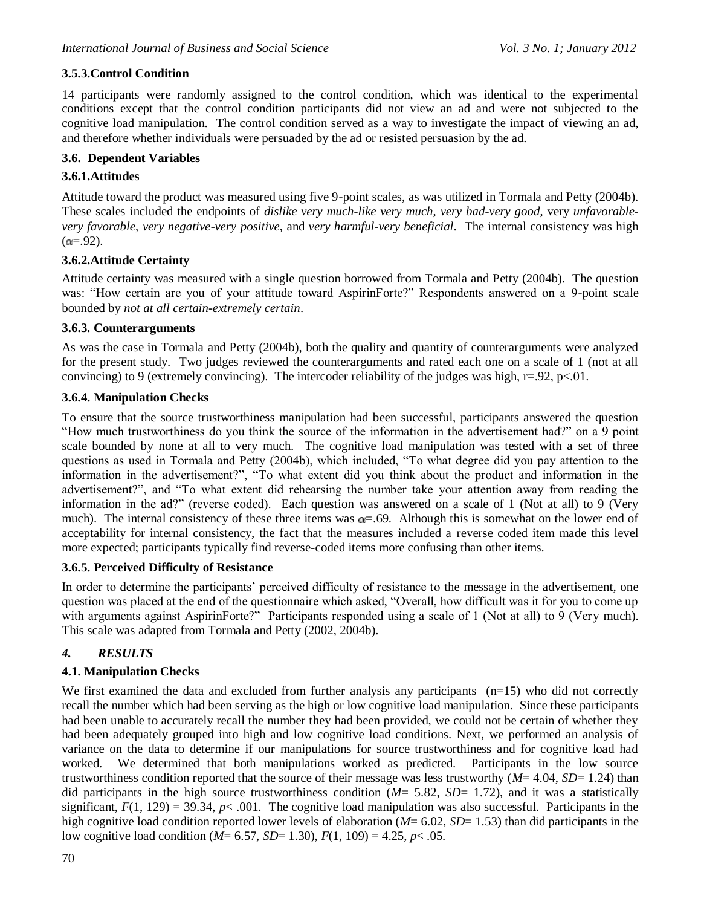### **3.5.3.Control Condition**

14 participants were randomly assigned to the control condition, which was identical to the experimental conditions except that the control condition participants did not view an ad and were not subjected to the cognitive load manipulation. The control condition served as a way to investigate the impact of viewing an ad, and therefore whether individuals were persuaded by the ad or resisted persuasion by the ad.

### **3.6. Dependent Variables**

### **3.6.1.Attitudes**

Attitude toward the product was measured using five 9-point scales, as was utilized in Tormala and Petty (2004b). These scales included the endpoints of *dislike very much-like very much*, *very bad-very good*, very *unfavorablevery favorable*, *very negative-very positive*, and *very harmful-very beneficial*. The internal consistency was high  $(\alpha = .92)$ .

### **3.6.2.Attitude Certainty**

Attitude certainty was measured with a single question borrowed from Tormala and Petty (2004b). The question was: "How certain are you of your attitude toward AspirinForte?" Respondents answered on a 9-point scale bounded by *not at all certain-extremely certain*.

#### **3.6.3. Counterarguments**

As was the case in Tormala and Petty (2004b), both the quality and quantity of counterarguments were analyzed for the present study. Two judges reviewed the counterarguments and rated each one on a scale of 1 (not at all convincing) to 9 (extremely convincing). The intercoder reliability of the judges was high,  $r=92$ ,  $p<01$ .

#### **3.6.4. Manipulation Checks**

To ensure that the source trustworthiness manipulation had been successful, participants answered the question "How much trustworthiness do you think the source of the information in the advertisement had?" on a 9 point scale bounded by none at all to very much. The cognitive load manipulation was tested with a set of three questions as used in Tormala and Petty (2004b), which included, "To what degree did you pay attention to the information in the advertisement?", "To what extent did you think about the product and information in the advertisement?", and "To what extent did rehearsing the number take your attention away from reading the information in the ad?" (reverse coded). Each question was answered on a scale of 1 (Not at all) to 9 (Very much). The internal consistency of these three items was  $\alpha = .69$ . Although this is somewhat on the lower end of acceptability for internal consistency, the fact that the measures included a reverse coded item made this level more expected; participants typically find reverse-coded items more confusing than other items.

#### **3.6.5. Perceived Difficulty of Resistance**

In order to determine the participants' perceived difficulty of resistance to the message in the advertisement, one question was placed at the end of the questionnaire which asked, "Overall, how difficult was it for you to come up with arguments against AspirinForte?" Participants responded using a scale of 1 (Not at all) to 9 (Very much). This scale was adapted from Tormala and Petty (2002, 2004b).

### *4. RESULTS*

### **4.1. Manipulation Checks**

We first examined the data and excluded from further analysis any participants  $(n=15)$  who did not correctly recall the number which had been serving as the high or low cognitive load manipulation. Since these participants had been unable to accurately recall the number they had been provided, we could not be certain of whether they had been adequately grouped into high and low cognitive load conditions. Next, we performed an analysis of variance on the data to determine if our manipulations for source trustworthiness and for cognitive load had worked. We determined that both manipulations worked as predicted. Participants in the low source trustworthiness condition reported that the source of their message was less trustworthy (*M*= 4.04, *SD*= 1.24) than did participants in the high source trustworthiness condition  $(M= 5.82, SD= 1.72)$ , and it was a statistically significant,  $F(1, 129) = 39.34$ ,  $p < .001$ . The cognitive load manipulation was also successful. Participants in the high cognitive load condition reported lower levels of elaboration ( $M=6.02$ ,  $SD=1.53$ ) than did participants in the low cognitive load condition (*M*= 6.57, *SD*= 1.30), *F*(1, 109) = 4.25, *p*< .05.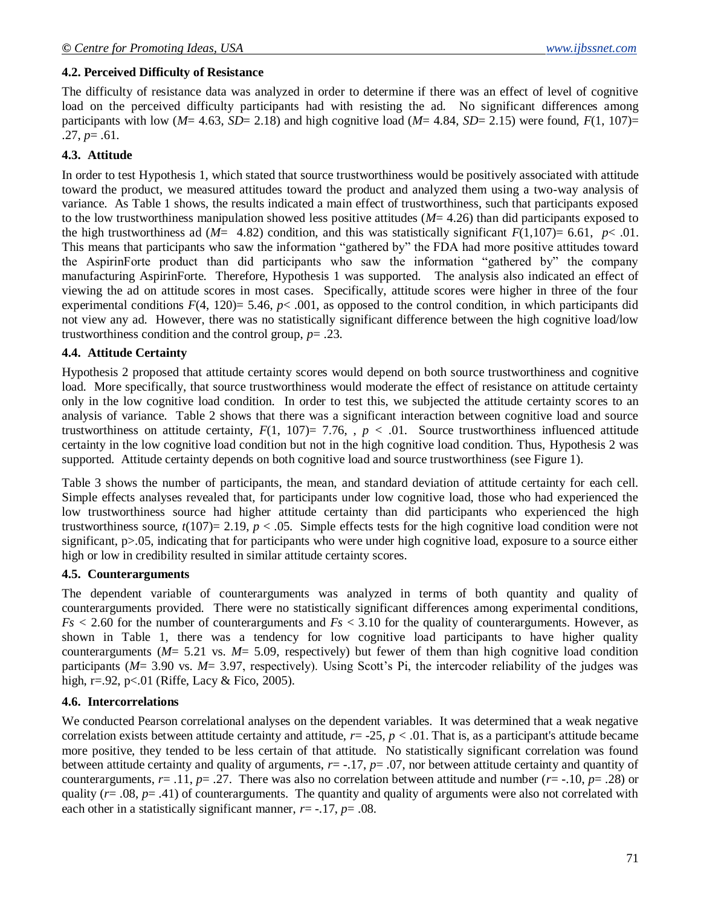#### **4.2. Perceived Difficulty of Resistance**

The difficulty of resistance data was analyzed in order to determine if there was an effect of level of cognitive load on the perceived difficulty participants had with resisting the ad. No significant differences among participants with low ( $M=4.63$ ,  $SD=2.18$ ) and high cognitive load ( $M=4.84$ ,  $SD=2.15$ ) were found,  $F(1, 107)=$  $.27, p = .61.$ 

#### **4.3. Attitude**

In order to test Hypothesis 1, which stated that source trustworthiness would be positively associated with attitude toward the product, we measured attitudes toward the product and analyzed them using a two-way analysis of variance. As Table 1 shows, the results indicated a main effect of trustworthiness, such that participants exposed to the low trustworthiness manipulation showed less positive attitudes (*M*= 4.26) than did participants exposed to the high trustworthiness ad ( $M=$  4.82) condition, and this was statistically significant  $F(1,107)=$  6.61,  $p<$  01. This means that participants who saw the information "gathered by" the FDA had more positive attitudes toward the AspirinForte product than did participants who saw the information "gathered by" the company manufacturing AspirinForte. Therefore, Hypothesis 1 was supported. The analysis also indicated an effect of viewing the ad on attitude scores in most cases. Specifically, attitude scores were higher in three of the four experimental conditions  $F(4, 120) = 5.46$ ,  $p < .001$ , as opposed to the control condition, in which participants did not view any ad. However, there was no statistically significant difference between the high cognitive load/low trustworthiness condition and the control group, *p*= .23.

#### **4.4. Attitude Certainty**

Hypothesis 2 proposed that attitude certainty scores would depend on both source trustworthiness and cognitive load. More specifically, that source trustworthiness would moderate the effect of resistance on attitude certainty only in the low cognitive load condition. In order to test this, we subjected the attitude certainty scores to an analysis of variance. Table 2 shows that there was a significant interaction between cognitive load and source trustworthiness on attitude certainty,  $F(1, 107)= 7.76$ ,  $p < .01$ . Source trustworthiness influenced attitude certainty in the low cognitive load condition but not in the high cognitive load condition. Thus, Hypothesis 2 was supported. Attitude certainty depends on both cognitive load and source trustworthiness (see Figure 1).

Table 3 shows the number of participants, the mean, and standard deviation of attitude certainty for each cell. Simple effects analyses revealed that, for participants under low cognitive load, those who had experienced the low trustworthiness source had higher attitude certainty than did participants who experienced the high trustworthiness source,  $t(107)=2.19$ ,  $p < .05$ . Simple effects tests for the high cognitive load condition were not significant,  $p>0.05$ , indicating that for participants who were under high cognitive load, exposure to a source either high or low in credibility resulted in similar attitude certainty scores.

#### **4.5. Counterarguments**

The dependent variable of counterarguments was analyzed in terms of both quantity and quality of counterarguments provided. There were no statistically significant differences among experimental conditions, *Fs <* 2.60 for the number of counterarguments and *Fs* < 3.10 for the quality of counterarguments. However, as shown in Table 1, there was a tendency for low cognitive load participants to have higher quality counterarguments (*M*= 5.21 vs. *M*= 5.09, respectively) but fewer of them than high cognitive load condition participants (*M*= 3.90 vs. *M*= 3.97, respectively). Using Scott's Pi, the intercoder reliability of the judges was high, r=.92, p<.01 (Riffe, Lacy & Fico, 2005).

#### **4.6. Intercorrelations**

We conducted Pearson correlational analyses on the dependent variables. It was determined that a weak negative correlation exists between attitude certainty and attitude,  $r = -25$ ,  $p < .01$ . That is, as a participant's attitude became more positive, they tended to be less certain of that attitude. No statistically significant correlation was found between attitude certainty and quality of arguments, *r*= -.17, *p*= .07, nor between attitude certainty and quantity of counterarguments,  $r = .11$ ,  $p = .27$ . There was also no correlation between attitude and number ( $r = .10$ ,  $p = .28$ ) or quality ( $r = .08$ ,  $p = .41$ ) of counterarguments. The quantity and quality of arguments were also not correlated with each other in a statistically significant manner, *r*= -.17, *p*= .08.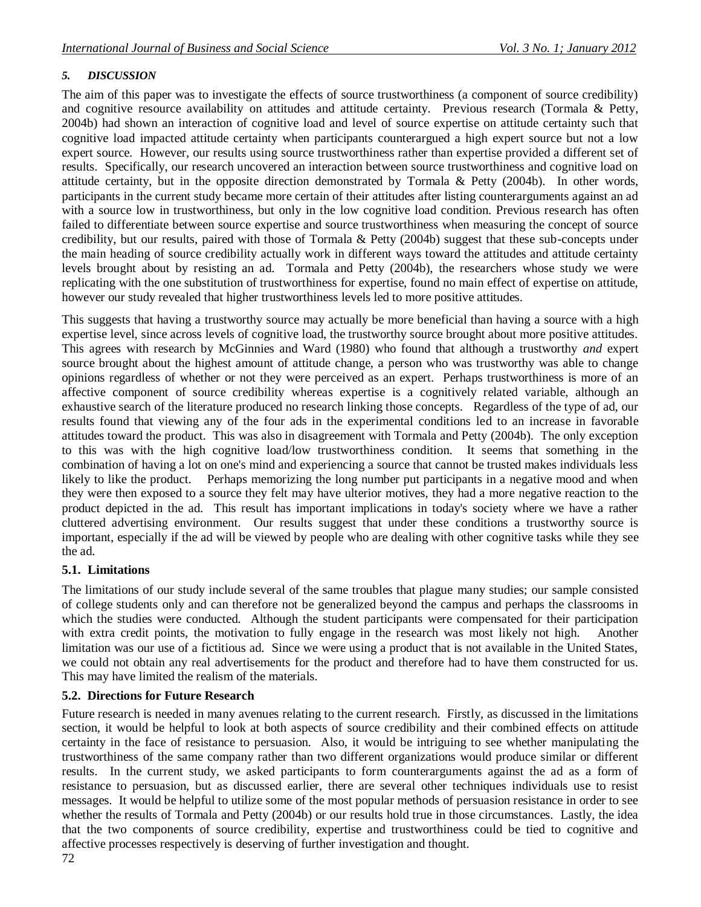## *5. DISCUSSION*

The aim of this paper was to investigate the effects of source trustworthiness (a component of source credibility) and cognitive resource availability on attitudes and attitude certainty. Previous research (Tormala & Petty, 2004b) had shown an interaction of cognitive load and level of source expertise on attitude certainty such that cognitive load impacted attitude certainty when participants counterargued a high expert source but not a low expert source. However, our results using source trustworthiness rather than expertise provided a different set of results. Specifically, our research uncovered an interaction between source trustworthiness and cognitive load on attitude certainty, but in the opposite direction demonstrated by Tormala & Petty (2004b). In other words, participants in the current study became more certain of their attitudes after listing counterarguments against an ad with a source low in trustworthiness, but only in the low cognitive load condition. Previous research has often failed to differentiate between source expertise and source trustworthiness when measuring the concept of source credibility, but our results, paired with those of Tormala & Petty (2004b) suggest that these sub-concepts under the main heading of source credibility actually work in different ways toward the attitudes and attitude certainty levels brought about by resisting an ad. Tormala and Petty (2004b), the researchers whose study we were replicating with the one substitution of trustworthiness for expertise, found no main effect of expertise on attitude, however our study revealed that higher trustworthiness levels led to more positive attitudes.

This suggests that having a trustworthy source may actually be more beneficial than having a source with a high expertise level, since across levels of cognitive load, the trustworthy source brought about more positive attitudes. This agrees with research by McGinnies and Ward (1980) who found that although a trustworthy *and* expert source brought about the highest amount of attitude change, a person who was trustworthy was able to change opinions regardless of whether or not they were perceived as an expert. Perhaps trustworthiness is more of an affective component of source credibility whereas expertise is a cognitively related variable, although an exhaustive search of the literature produced no research linking those concepts. Regardless of the type of ad, our results found that viewing any of the four ads in the experimental conditions led to an increase in favorable attitudes toward the product. This was also in disagreement with Tormala and Petty (2004b). The only exception to this was with the high cognitive load/low trustworthiness condition. It seems that something in the combination of having a lot on one's mind and experiencing a source that cannot be trusted makes individuals less likely to like the product. Perhaps memorizing the long number put participants in a negative mood and when they were then exposed to a source they felt may have ulterior motives, they had a more negative reaction to the product depicted in the ad. This result has important implications in today's society where we have a rather cluttered advertising environment. Our results suggest that under these conditions a trustworthy source is important, especially if the ad will be viewed by people who are dealing with other cognitive tasks while they see the ad.

### **5.1. Limitations**

The limitations of our study include several of the same troubles that plague many studies; our sample consisted of college students only and can therefore not be generalized beyond the campus and perhaps the classrooms in which the studies were conducted. Although the student participants were compensated for their participation with extra credit points, the motivation to fully engage in the research was most likely not high. Another limitation was our use of a fictitious ad. Since we were using a product that is not available in the United States, we could not obtain any real advertisements for the product and therefore had to have them constructed for us. This may have limited the realism of the materials.

### **5.2. Directions for Future Research**

Future research is needed in many avenues relating to the current research. Firstly, as discussed in the limitations section, it would be helpful to look at both aspects of source credibility and their combined effects on attitude certainty in the face of resistance to persuasion. Also, it would be intriguing to see whether manipulating the trustworthiness of the same company rather than two different organizations would produce similar or different results. In the current study, we asked participants to form counterarguments against the ad as a form of resistance to persuasion, but as discussed earlier, there are several other techniques individuals use to resist messages. It would be helpful to utilize some of the most popular methods of persuasion resistance in order to see whether the results of Tormala and Petty (2004b) or our results hold true in those circumstances. Lastly, the idea that the two components of source credibility, expertise and trustworthiness could be tied to cognitive and affective processes respectively is deserving of further investigation and thought.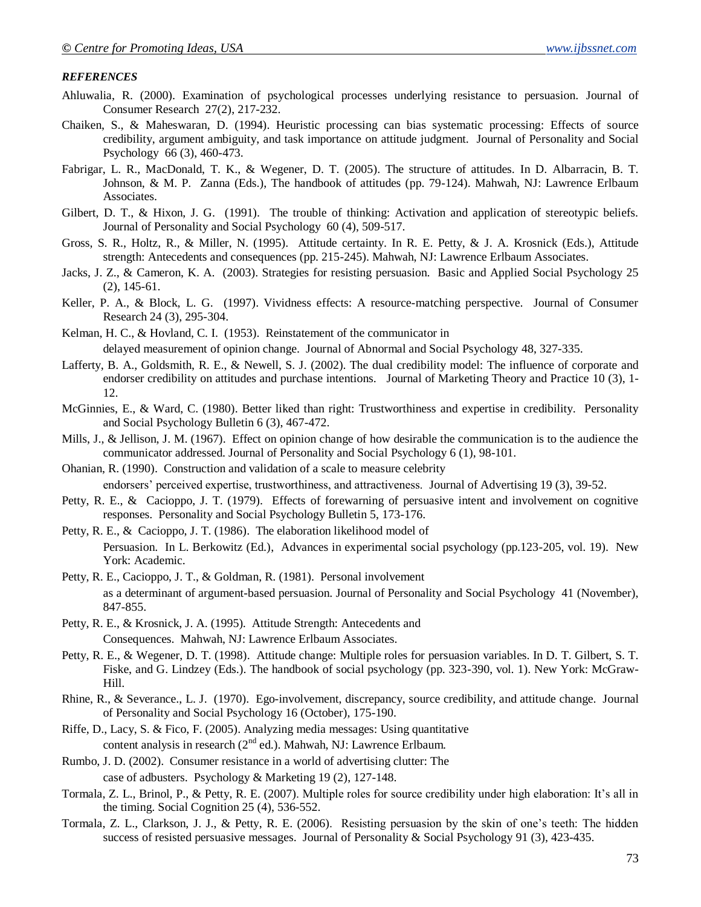#### *REFERENCES*

- Ahluwalia, R. (2000). Examination of psychological processes underlying resistance to persuasion. Journal of Consumer Research 27(2), 217-232.
- Chaiken, S., & Maheswaran, D. (1994). Heuristic processing can bias systematic processing: Effects of source credibility, argument ambiguity, and task importance on attitude judgment. Journal of Personality and Social Psychology 66 (3), 460-473.
- Fabrigar, L. R., MacDonald, T. K., & Wegener, D. T. (2005). The structure of attitudes. In D. Albarracin, B. T. Johnson, & M. P. Zanna (Eds.), The handbook of attitudes (pp. 79-124). Mahwah, NJ: Lawrence Erlbaum Associates.
- Gilbert, D. T., & Hixon, J. G. (1991). The trouble of thinking: Activation and application of stereotypic beliefs. Journal of Personality and Social Psychology 60 (4), 509-517.
- Gross, S. R., Holtz, R., & Miller, N. (1995). Attitude certainty. In R. E. Petty, & J. A. Krosnick (Eds.), Attitude strength: Antecedents and consequences (pp. 215-245). Mahwah, NJ: Lawrence Erlbaum Associates.
- Jacks, J. Z., & Cameron, K. A. (2003). Strategies for resisting persuasion. Basic and Applied Social Psychology 25 (2), 145-61.
- Keller, P. A., & Block, L. G. (1997). Vividness effects: A resource-matching perspective. Journal of Consumer Research 24 (3), 295-304.
- Kelman, H. C., & Hovland, C. I. (1953). Reinstatement of the communicator in delayed measurement of opinion change. Journal of Abnormal and Social Psychology 48, 327-335.
- Lafferty, B. A., Goldsmith, R. E., & Newell, S. J. (2002). The dual credibility model: The influence of corporate and endorser credibility on attitudes and purchase intentions. Journal of Marketing Theory and Practice 10 (3), 1- 12.
- McGinnies, E., & Ward, C. (1980). Better liked than right: Trustworthiness and expertise in credibility. Personality and Social Psychology Bulletin 6 (3), 467-472.
- Mills, J., & Jellison, J. M. (1967). Effect on opinion change of how desirable the communication is to the audience the communicator addressed. Journal of Personality and Social Psychology 6 (1), 98-101.
- Ohanian, R. (1990). Construction and validation of a scale to measure celebrity endorsers' perceived expertise, trustworthiness, and attractiveness. Journal of Advertising 19 (3), 39-52.
- Petty, R. E., & Cacioppo, J. T. (1979). Effects of forewarning of persuasive intent and involvement on cognitive responses. Personality and Social Psychology Bulletin 5, 173-176.
- Petty, R. E., & Cacioppo, J. T. (1986). The elaboration likelihood model of Persuasion. In L. Berkowitz (Ed.), Advances in experimental social psychology (pp.123-205, vol. 19). New York: Academic.
- Petty, R. E., Cacioppo, J. T., & Goldman, R. (1981). Personal involvement as a determinant of argument-based persuasion. Journal of Personality and Social Psychology 41 (November), 847-855.
- Petty, R. E., & Krosnick, J. A. (1995). Attitude Strength: Antecedents and Consequences. Mahwah, NJ: Lawrence Erlbaum Associates.
- Petty, R. E., & Wegener, D. T. (1998). Attitude change: Multiple roles for persuasion variables. In D. T. Gilbert, S. T. Fiske, and G. Lindzey (Eds.). The handbook of social psychology (pp. 323-390, vol. 1). New York: McGraw-Hill.
- Rhine, R., & Severance., L. J. (1970). Ego-involvement, discrepancy, source credibility, and attitude change. Journal of Personality and Social Psychology 16 (October), 175-190.
- Riffe, D., Lacy, S. & Fico, F. (2005). Analyzing media messages: Using quantitative content analysis in research  $(2^{nd}$  ed.). Mahwah, NJ: Lawrence Erlbaum.
- Rumbo, J. D. (2002). Consumer resistance in a world of advertising clutter: The case of adbusters. Psychology & Marketing 19 (2), 127-148.
- Tormala, Z. L., Brinol, P., & Petty, R. E. (2007). Multiple roles for source credibility under high elaboration: It's all in the timing. Social Cognition 25 (4), 536-552.
- Tormala, Z. L., Clarkson, J. J., & Petty, R. E. (2006). Resisting persuasion by the skin of one's teeth: The hidden success of resisted persuasive messages. Journal of Personality & Social Psychology 91 (3), 423-435.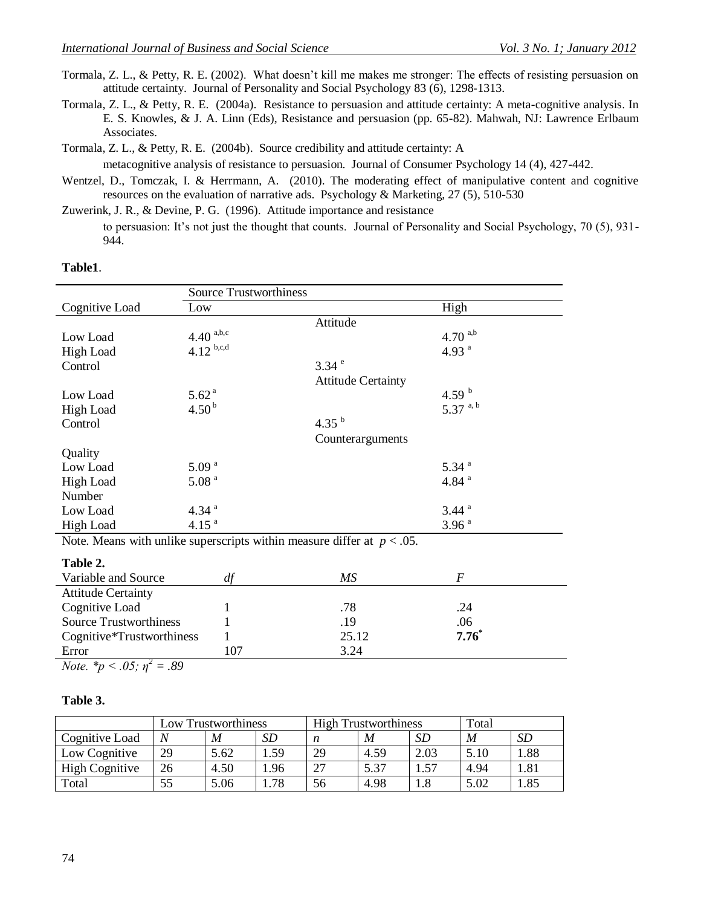Tormala, Z. L., & Petty, R. E. (2002). What doesn't kill me makes me stronger: The effects of resisting persuasion on attitude certainty. Journal of Personality and Social Psychology 83 (6), 1298-1313.

Tormala, Z. L., & Petty, R. E. (2004a). Resistance to persuasion and attitude certainty: A meta-cognitive analysis. In E. S. Knowles, & J. A. Linn (Eds), Resistance and persuasion (pp. 65-82). Mahwah, NJ: Lawrence Erlbaum Associates.

Tormala, Z. L., & Petty, R. E. (2004b). Source credibility and attitude certainty: A

metacognitive analysis of resistance to persuasion. Journal of Consumer Psychology 14 (4), 427-442.

Wentzel, D., Tomczak, I. & Herrmann, A. (2010). The moderating effect of manipulative content and cognitive resources on the evaluation of narrative ads. Psychology & Marketing, 27 (5), 510-530

Zuwerink, J. R., & Devine, P. G. (1996). Attitude importance and resistance

to persuasion: It's not just the thought that counts. Journal of Personality and Social Psychology, 70 (5), 931- 944.

#### **Table1**.

|                                                                           | <b>Source Trustworthiness</b> |                           |                     |  |  |  |
|---------------------------------------------------------------------------|-------------------------------|---------------------------|---------------------|--|--|--|
| Cognitive Load                                                            | Low                           |                           | High                |  |  |  |
|                                                                           |                               | Attitude                  |                     |  |  |  |
| Low Load                                                                  | $4.40^{a,b,c}$                |                           | 4.70 $^{a,b}$       |  |  |  |
| <b>High Load</b>                                                          | $4.12^{b,c,d}$                |                           | 4.93 $a$            |  |  |  |
| Control                                                                   |                               | $3.34$ <sup>e</sup>       |                     |  |  |  |
|                                                                           |                               | <b>Attitude Certainty</b> |                     |  |  |  |
| Low Load                                                                  | 5.62 <sup>a</sup>             |                           | 4.59 $^{\rm b}$     |  |  |  |
| <b>High Load</b>                                                          | 4.50 <sup>b</sup>             |                           | 5.37 $a, b$         |  |  |  |
| Control                                                                   |                               | 4.35 $^{b}$               |                     |  |  |  |
|                                                                           |                               | Counterarguments          |                     |  |  |  |
| Quality                                                                   |                               |                           |                     |  |  |  |
| Low Load                                                                  | 5.09 <sup>a</sup>             |                           | $5.34$ <sup>a</sup> |  |  |  |
| <b>High Load</b>                                                          | $5.08$ $\mathrm{^a}$          |                           | 4.84 $^{a}$         |  |  |  |
| Number                                                                    |                               |                           |                     |  |  |  |
| Low Load                                                                  | 4.34 $^{a}$                   |                           | $3.44$ <sup>a</sup> |  |  |  |
| High Load                                                                 | 4.15 <sup>a</sup>             |                           | 3.96 <sup>a</sup>   |  |  |  |
| Note. Means with unlike superscripts within measure differ at $p < .05$ . |                               |                           |                     |  |  |  |
|                                                                           |                               |                           |                     |  |  |  |
| Table 2.                                                                  |                               |                           |                     |  |  |  |
| Variable and Source                                                       | df                            | MS                        | $\cal F$            |  |  |  |

| Variable and Source           |    |       |         |
|-------------------------------|----|-------|---------|
| <b>Attitude Certainty</b>     |    |       |         |
| Cognitive Load                |    | .78   | .24     |
| <b>Source Trustworthiness</b> |    | . 19  | .06     |
| Cognitive*Trustworthiness     |    | 25.12 | $7.76*$ |
| Error                         | 07 | 3.24  |         |

*Note.*  $^*p < .05; \eta^2 = .89$ 

#### **Table 3.**

|                       | <b>Low Trustworthiness</b> |      | <b>High Trustworthiness</b> |    |      | Total |      |      |
|-----------------------|----------------------------|------|-----------------------------|----|------|-------|------|------|
| Cognitive Load        | N                          | M    | SD                          | n  | M    | SD    | M    | SD   |
| Low Cognitive         | 29                         | 5.62 | . . 59                      | 29 | 4.59 | 2.03  | 5.10 | 1.88 |
| <b>High Cognitive</b> | 26                         | 4.50 | .96                         | 27 | 5.37 | 1.57  | 4.94 | 1.81 |
| Total                 | 55                         | 5.06 | .78                         | 56 | 4.98 | 1.8   | 5.02 | . 85 |